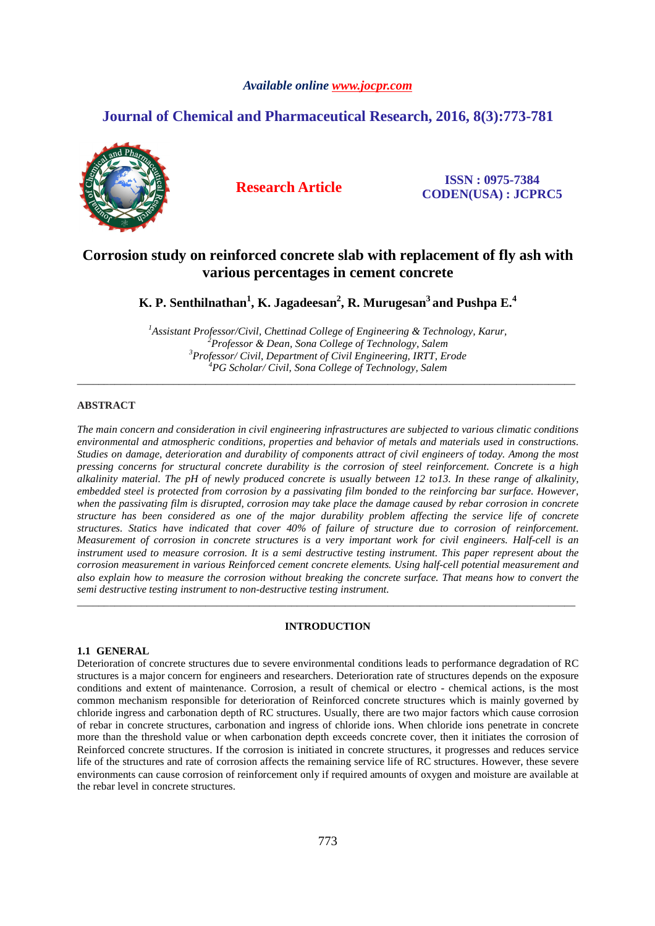#### *Available online www.jocpr.com*

# **Journal of Chemical and Pharmaceutical Research, 2016, 8(3):773-781**



**Research Article ISSN : 0975-7384 CODEN(USA) : JCPRC5**

# **Corrosion study on reinforced concrete slab with replacement of fly ash with various percentages in cement concrete**

**K. P. Senthilnathan<sup>1</sup> , K. Jagadeesan<sup>2</sup> , R. Murugesan<sup>3</sup>and Pushpa E.<sup>4</sup>**

*Assistant Professor/Civil, Chettinad College of Engineering & Technology, Karur, Professor & Dean, Sona College of Technology, Salem Professor/ Civil, Department of Civil Engineering, IRTT, Erode PG Scholar/ Civil, Sona College of Technology, Salem* 

\_\_\_\_\_\_\_\_\_\_\_\_\_\_\_\_\_\_\_\_\_\_\_\_\_\_\_\_\_\_\_\_\_\_\_\_\_\_\_\_\_\_\_\_\_\_\_\_\_\_\_\_\_\_\_\_\_\_\_\_\_\_\_\_\_\_\_\_\_\_\_\_\_\_\_\_\_\_\_\_\_\_\_\_\_\_\_\_\_\_\_\_\_

### **ABSTRACT**

*The main concern and consideration in civil engineering infrastructures are subjected to various climatic conditions environmental and atmospheric conditions, properties and behavior of metals and materials used in constructions. Studies on damage, deterioration and durability of components attract of civil engineers of today. Among the most pressing concerns for structural concrete durability is the corrosion of steel reinforcement. Concrete is a high alkalinity material. The pH of newly produced concrete is usually between 12 to13. In these range of alkalinity, embedded steel is protected from corrosion by a passivating film bonded to the reinforcing bar surface. However, when the passivating film is disrupted, corrosion may take place the damage caused by rebar corrosion in concrete structure has been considered as one of the major durability problem affecting the service life of concrete structures. Statics have indicated that cover 40% of failure of structure due to corrosion of reinforcement. Measurement of corrosion in concrete structures is a very important work for civil engineers. Half-cell is an instrument used to measure corrosion. It is a semi destructive testing instrument. This paper represent about the corrosion measurement in various Reinforced cement concrete elements. Using half-cell potential measurement and also explain how to measure the corrosion without breaking the concrete surface. That means how to convert the semi destructive testing instrument to non-destructive testing instrument.* 

#### **INTRODUCTION**

\_\_\_\_\_\_\_\_\_\_\_\_\_\_\_\_\_\_\_\_\_\_\_\_\_\_\_\_\_\_\_\_\_\_\_\_\_\_\_\_\_\_\_\_\_\_\_\_\_\_\_\_\_\_\_\_\_\_\_\_\_\_\_\_\_\_\_\_\_\_\_\_\_\_\_\_\_\_\_\_\_\_\_\_\_\_\_\_\_\_\_\_\_

#### **1.1 GENERAL**

Deterioration of concrete structures due to severe environmental conditions leads to performance degradation of RC structures is a major concern for engineers and researchers. Deterioration rate of structures depends on the exposure conditions and extent of maintenance. Corrosion, a result of chemical or electro - chemical actions, is the most common mechanism responsible for deterioration of Reinforced concrete structures which is mainly governed by chloride ingress and carbonation depth of RC structures. Usually, there are two major factors which cause corrosion of rebar in concrete structures, carbonation and ingress of chloride ions. When chloride ions penetrate in concrete more than the threshold value or when carbonation depth exceeds concrete cover, then it initiates the corrosion of Reinforced concrete structures. If the corrosion is initiated in concrete structures, it progresses and reduces service life of the structures and rate of corrosion affects the remaining service life of RC structures. However, these severe environments can cause corrosion of reinforcement only if required amounts of oxygen and moisture are available at the rebar level in concrete structures.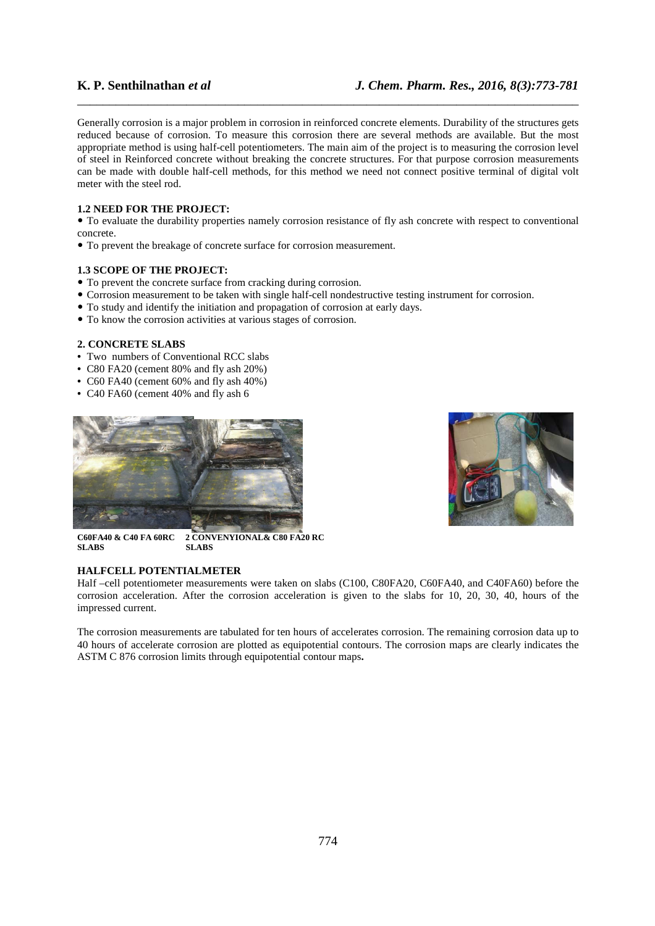Generally corrosion is a major problem in corrosion in reinforced concrete elements. Durability of the structures gets reduced because of corrosion. To measure this corrosion there are several methods are available. But the most appropriate method is using half-cell potentiometers. The main aim of the project is to measuring the corrosion level of steel in Reinforced concrete without breaking the concrete structures. For that purpose corrosion measurements can be made with double half-cell methods, for this method we need not connect positive terminal of digital volt meter with the steel rod.

\_\_\_\_\_\_\_\_\_\_\_\_\_\_\_\_\_\_\_\_\_\_\_\_\_\_\_\_\_\_\_\_\_\_\_\_\_\_\_\_\_\_\_\_\_\_\_\_\_\_\_\_\_\_\_\_\_\_\_\_\_\_\_\_\_\_\_\_\_\_\_\_\_\_\_\_\_\_

### **1.2 NEED FOR THE PROJECT:**

 To evaluate the durability properties namely corrosion resistance of fly ash concrete with respect to conventional concrete.

To prevent the breakage of concrete surface for corrosion measurement.

#### **1.3 SCOPE OF THE PROJECT:**

- To prevent the concrete surface from cracking during corrosion.
- Corrosion measurement to be taken with single half-cell nondestructive testing instrument for corrosion.
- To study and identify the initiation and propagation of corrosion at early days.
- To know the corrosion activities at various stages of corrosion.

## **2. CONCRETE SLABS**

- Two numbers of Conventional RCC slabs
- C80 FA20 (cement 80% and fly ash 20%)
- C60 FA40 (cement 60% and fly ash 40%)
- C40 FA60 (cement 40% and fly ash 6





**C60FA40 & C40 FA 60RC 2 CONVENYIONAL& C80 FA20 RC SLABS SLABS** 

#### **HALFCELL POTENTIALMETER**

Half –cell potentiometer measurements were taken on slabs (C100, C80FA20, C60FA40, and C40FA60) before the corrosion acceleration. After the corrosion acceleration is given to the slabs for 10, 20, 30, 40, hours of the impressed current.

The corrosion measurements are tabulated for ten hours of accelerates corrosion. The remaining corrosion data up to 40 hours of accelerate corrosion are plotted as equipotential contours. The corrosion maps are clearly indicates the ASTM C 876 corrosion limits through equipotential contour maps**.**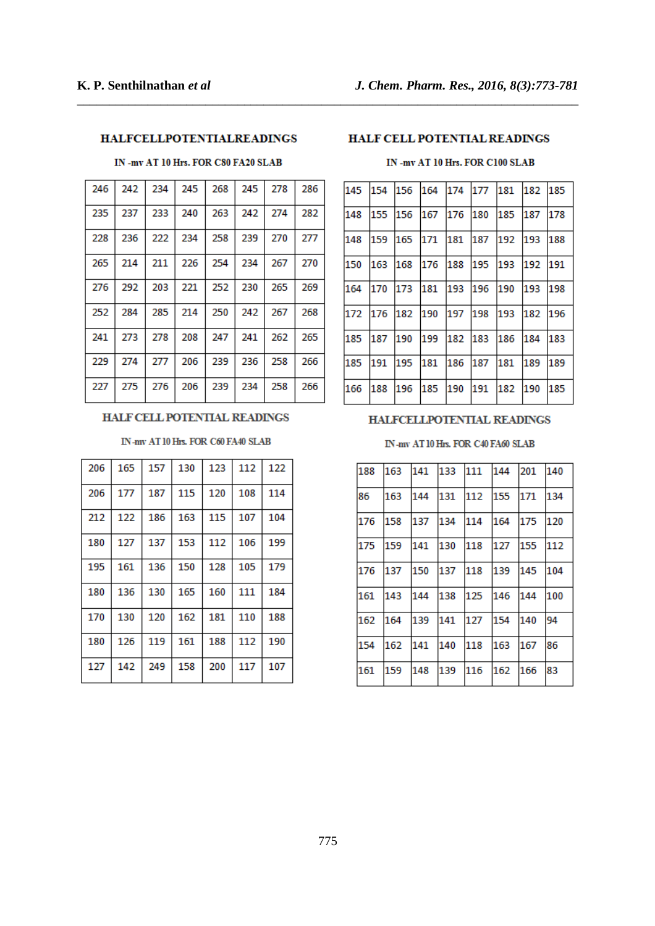# **HALFCELLPOTENTIALREADINGS**

# IN -mv AT 10 Hrs. FOR C80 FA20 SLAB

| 246 | 242 | 234 | 245 | 268 | 245 | 278 | 286 |
|-----|-----|-----|-----|-----|-----|-----|-----|
| 235 | 237 | 233 | 240 | 263 | 242 | 274 | 282 |
| 228 | 236 | 222 | 234 | 258 | 239 | 270 | 277 |
| 265 | 214 | 211 | 226 | 254 | 234 | 267 | 270 |
| 276 | 292 | 203 | 221 | 252 | 230 | 265 | 269 |
| 252 | 284 | 285 | 214 | 250 | 242 | 267 | 268 |
| 241 | 273 | 278 | 208 | 247 | 241 | 262 | 265 |
| 229 | 274 | 277 | 206 | 239 | 236 | 258 | 266 |
| 227 | 275 | 276 | 206 | 239 | 234 | 258 | 266 |

## HALF CELL POTENTIAL READINGS

### IN-my AT 10 Hrs. FOR C60 FA40 SLAB

| 206 | 165 | 157 | 130 | 123 | 112 | 122 |
|-----|-----|-----|-----|-----|-----|-----|
| 206 | 177 | 187 | 115 | 120 | 108 | 114 |
| 212 | 122 | 186 | 163 | 115 | 107 | 104 |
| 180 | 127 | 137 | 153 | 112 | 106 | 199 |
| 195 | 161 | 136 | 150 | 128 | 105 | 179 |
| 180 | 136 | 130 | 165 | 160 | 111 | 184 |
| 170 | 130 | 120 | 162 | 181 | 110 | 188 |
| 180 | 126 | 119 | 161 | 188 | 112 | 190 |
| 127 | 142 | 249 | 158 | 200 | 117 | 107 |

## HALF CELL POTENTIAL READINGS

\_\_\_\_\_\_\_\_\_\_\_\_\_\_\_\_\_\_\_\_\_\_\_\_\_\_\_\_\_\_\_\_\_\_\_\_\_\_\_\_\_\_\_\_\_\_\_\_\_\_\_\_\_\_\_\_\_\_\_\_\_\_\_\_\_\_\_\_\_\_\_\_\_\_\_\_\_\_

## IN -mv AT 10 Hrs. FOR C100 SLAB

| 145 | 154 | 156 | 164 | 174     | 177 | 181 | 182 | 185 |
|-----|-----|-----|-----|---------|-----|-----|-----|-----|
| 148 | 155 | 156 | 167 | 176     | 180 | 185 | 187 | 178 |
| 148 | 159 | 165 | 171 | 181     | 187 | 192 | 193 | 188 |
| 150 | 163 | 168 | 176 | 188     | 195 | 193 | 192 | 191 |
| 164 | 170 | 173 | 181 | 193     | 196 | 190 | 193 | 198 |
| 172 | 176 | 182 | 190 | 197     | 198 | 193 | 182 | 196 |
| 185 | 187 | 190 | 199 | 182 183 |     | 186 | 184 | 183 |
| 185 | 191 | 195 | 181 | 186     | 187 | 181 | 189 | 189 |
| 166 | 188 | 196 | 185 | 190     | 191 | 182 | 190 | 185 |

### HALFCELLPOTENTIAL READINGS

### IN-mv AT 10 Hrs. FOR C40 FA60 SLAB

| 188 | 163 | 141 | 133 | 111 144 |     | 201 | 140 |
|-----|-----|-----|-----|---------|-----|-----|-----|
| 86  | 163 | 144 | 131 | 112     | 155 | 171 | 134 |
| 176 | 158 | 137 | 134 | 114     | 164 | 175 | 120 |
| 175 | 159 | 141 | 130 | 118     | 127 | 155 | 112 |
| 176 | 137 | 150 | 137 | 118     | 139 | 145 | 104 |
| 161 | 143 | 144 | 138 | 125     | 146 | 144 | 100 |
| 162 | 164 | 139 | 141 | 127     | 154 | 140 | 94  |
| 154 | 162 | 141 | 140 | 118     | 163 | 167 | 86  |
| 161 | 159 | 148 | 139 | 116     | 162 | 166 | 83  |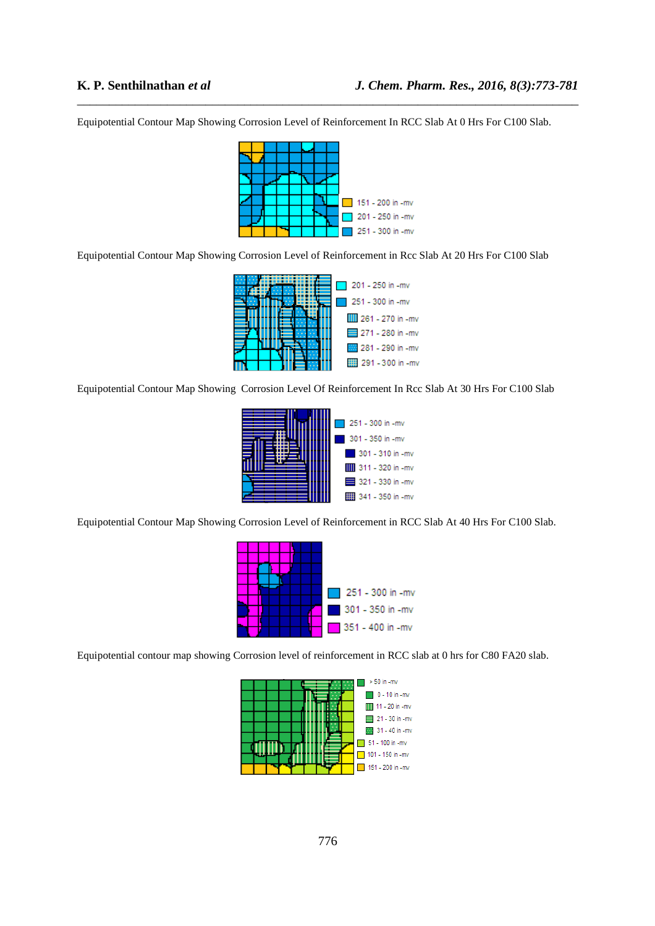Equipotential Contour Map Showing Corrosion Level of Reinforcement In RCC Slab At 0 Hrs For C100 Slab.

\_\_\_\_\_\_\_\_\_\_\_\_\_\_\_\_\_\_\_\_\_\_\_\_\_\_\_\_\_\_\_\_\_\_\_\_\_\_\_\_\_\_\_\_\_\_\_\_\_\_\_\_\_\_\_\_\_\_\_\_\_\_\_\_\_\_\_\_\_\_\_\_\_\_\_\_\_\_



Equipotential Contour Map Showing Corrosion Level of Reinforcement in Rcc Slab At 20 Hrs For C100 Slab



Equipotential Contour Map Showing Corrosion Level Of Reinforcement In Rcc Slab At 30 Hrs For C100 Slab



Equipotential Contour Map Showing Corrosion Level of Reinforcement in RCC Slab At 40 Hrs For C100 Slab.



Equipotential contour map showing Corrosion level of reinforcement in RCC slab at 0 hrs for C80 FA20 slab.

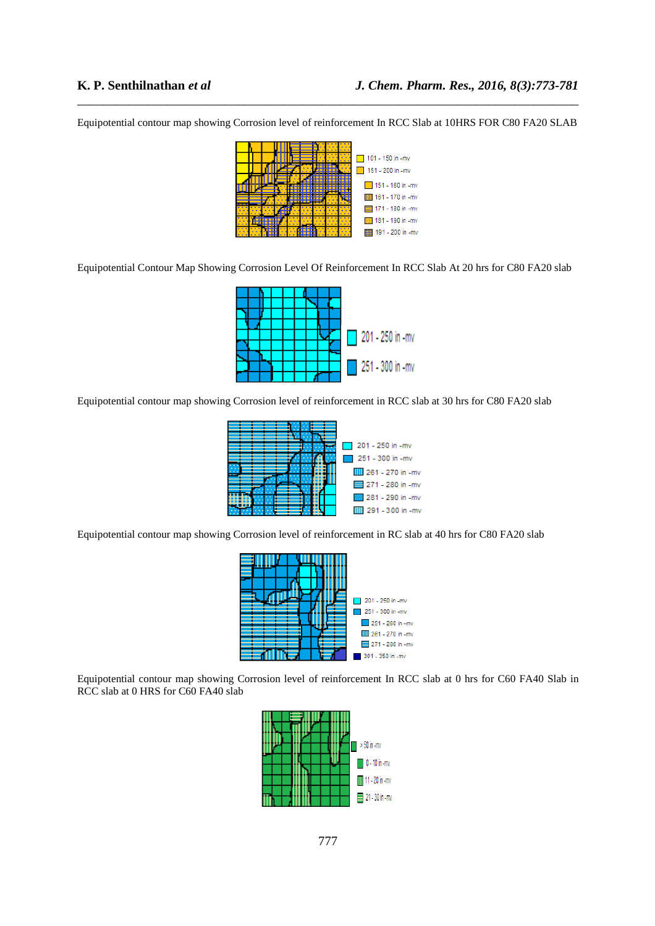Equipotential contour map showing Corrosion level of reinforcement In RCC Slab at 10HRS FOR C80 FA20 SLAB

\_\_\_\_\_\_\_\_\_\_\_\_\_\_\_\_\_\_\_\_\_\_\_\_\_\_\_\_\_\_\_\_\_\_\_\_\_\_\_\_\_\_\_\_\_\_\_\_\_\_\_\_\_\_\_\_\_\_\_\_\_\_\_\_\_\_\_\_\_\_\_\_\_\_\_\_\_\_



Equipotential Contour Map Showing Corrosion Level Of Reinforcement In RCC Slab At 20 hrs for C80 FA20 slab



Equipotential contour map showing Corrosion level of reinforcement in RCC slab at 30 hrs for C80 FA20 slab



Equipotential contour map showing Corrosion level of reinforcement in RC slab at 40 hrs for C80 FA20 slab



Equipotential contour map showing Corrosion level of reinforcement In RCC slab at 0 hrs for C60 FA40 Slab in RCC slab at 0 HRS for C60 FA40 slab

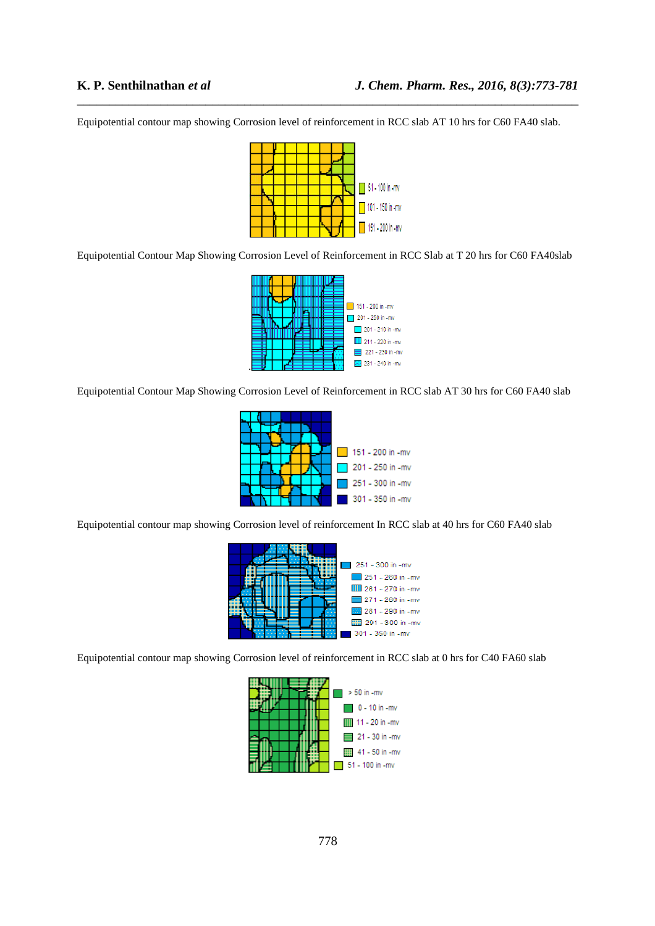Equipotential contour map showing Corrosion level of reinforcement in RCC slab AT 10 hrs for C60 FA40 slab.

\_\_\_\_\_\_\_\_\_\_\_\_\_\_\_\_\_\_\_\_\_\_\_\_\_\_\_\_\_\_\_\_\_\_\_\_\_\_\_\_\_\_\_\_\_\_\_\_\_\_\_\_\_\_\_\_\_\_\_\_\_\_\_\_\_\_\_\_\_\_\_\_\_\_\_\_\_\_



Equipotential Contour Map Showing Corrosion Level of Reinforcement in RCC Slab at T 20 hrs for C60 FA40slab



Equipotential Contour Map Showing Corrosion Level of Reinforcement in RCC slab AT 30 hrs for C60 FA40 slab



Equipotential contour map showing Corrosion level of reinforcement In RCC slab at 40 hrs for C60 FA40 slab



Equipotential contour map showing Corrosion level of reinforcement in RCC slab at 0 hrs for C40 FA60 slab

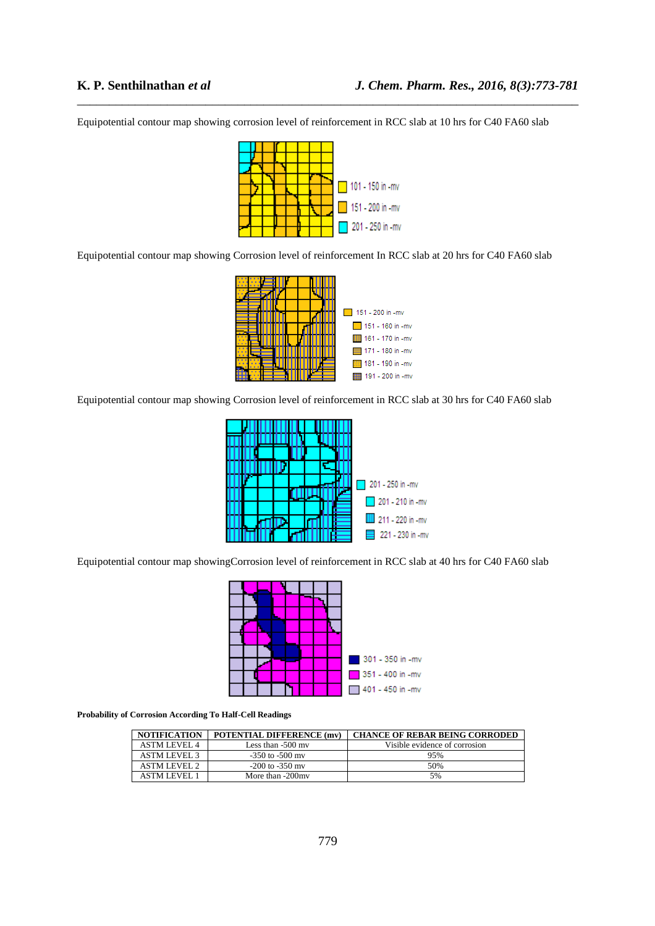Equipotential contour map showing corrosion level of reinforcement in RCC slab at 10 hrs for C40 FA60 slab

\_\_\_\_\_\_\_\_\_\_\_\_\_\_\_\_\_\_\_\_\_\_\_\_\_\_\_\_\_\_\_\_\_\_\_\_\_\_\_\_\_\_\_\_\_\_\_\_\_\_\_\_\_\_\_\_\_\_\_\_\_\_\_\_\_\_\_\_\_\_\_\_\_\_\_\_\_\_



Equipotential contour map showing Corrosion level of reinforcement In RCC slab at 20 hrs for C40 FA60 slab



Equipotential contour map showing Corrosion level of reinforcement in RCC slab at 30 hrs for C40 FA60 slab



Equipotential contour map showingCorrosion level of reinforcement in RCC slab at 40 hrs for C40 FA60 slab



**Probability of Corrosion According To Half-Cell Readings** 

| <b>NOTIFICATION</b> | <b>POTENTIAL DIFFERENCE (mv)</b> | <b>CHANCE OF REBAR BEING CORRODED</b> |
|---------------------|----------------------------------|---------------------------------------|
| <b>ASTM LEVEL 4</b> | Less than $-500$ my              | Visible evidence of corrosion         |
| <b>ASTM LEVEL 3</b> | $-350$ to $-500$ my              | 95%                                   |
| <b>ASTM LEVEL 2</b> | $-200$ to $-350$ my              | 50%                                   |
| ASTM LEVEL.         | More than -200my                 | 5%                                    |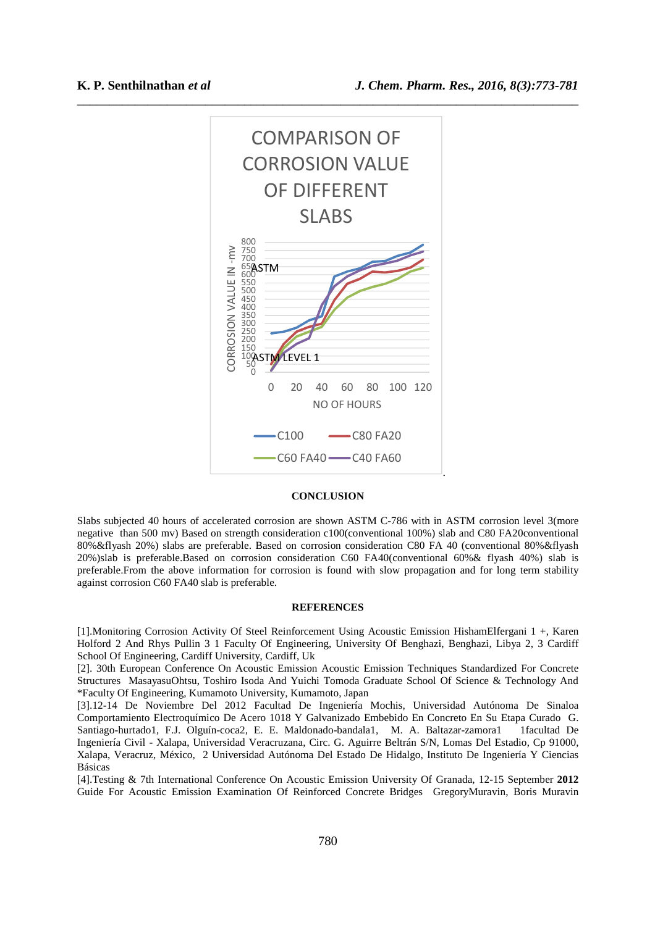

#### **CONCLUSION**

Slabs subjected 40 hours of accelerated corrosion are shown ASTM C-786 with in ASTM corrosion level 3(more negative than 500 mv) Based on strength consideration c100(conventional 100%) slab and C80 FA20conventional 80%&flyash 20%) slabs are preferable. Based on corrosion consideration C80 FA 40 (conventional 80%&flyash 20%)slab is preferable.Based on corrosion consideration C60 FA40(conventional 60%& flyash 40%) slab is preferable.From the above information for corrosion is found with slow propagation and for long term stability against corrosion C60 FA40 slab is preferable.

#### **REFERENCES**

[1].Monitoring Corrosion Activity Of Steel Reinforcement Using Acoustic Emission HishamElfergani 1 +, Karen Holford 2 And Rhys Pullin 3 1 Faculty Of Engineering, University Of Benghazi, Benghazi, Libya 2, 3 Cardiff School Of Engineering, Cardiff University, Cardiff, Uk

[2]. 30th European Conference On Acoustic Emission Acoustic Emission Techniques Standardized For Concrete Structures MasayasuOhtsu, Toshiro Isoda And Yuichi Tomoda Graduate School Of Science & Technology And \*Faculty Of Engineering, Kumamoto University, Kumamoto, Japan

[3].12-14 De Noviembre Del 2012 Facultad De Ingeniería Mochis, Universidad Autónoma De Sinaloa Comportamiento Electroquímico De Acero 1018 Y Galvanizado Embebido En Concreto En Su Etapa Curado G. Santiago-hurtado1, F.J. Olguín-coca2, E. E. Maldonado-bandala1, M. A. Baltazar-zamora1 1facultad De Ingeniería Civil - Xalapa, Universidad Veracruzana, Circ. G. Aguirre Beltrán S/N, Lomas Del Estadio, Cp 91000, Xalapa, Veracruz, México, 2 Universidad Autónoma Del Estado De Hidalgo, Instituto De Ingeniería Y Ciencias Básicas

[4].Testing & 7th International Conference On Acoustic Emission University Of Granada, 12-15 September **2012** Guide For Acoustic Emission Examination Of Reinforced Concrete Bridges GregoryMuravin, Boris Muravin